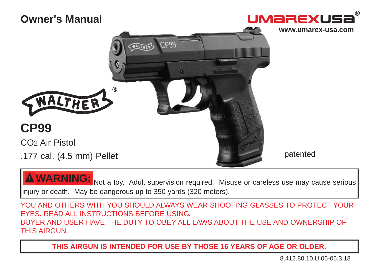

Not a toy. Adult supervision required. Misuse or careless use may cause serious injury or death. May be dangerous up to 350 yards (320 meters). **WARNING:**

YOU AND OTHERS WITH YOU SHOULD ALWAYS WEAR SHOOTING GLASSES TO PROTECT YOUR EYES. READ ALL INSTRUCTIONS BEFORE USING. BUYER AND USER HAVE THE DUTY TO OBEY ALL LAWS ABOUT THE USE AND OWNERSHIP OF THIS AIRGUN.

**THIS AIRGUN IS INTENDED FOR USE BY THOSE 16 YEARS OF AGE OR OLDER.**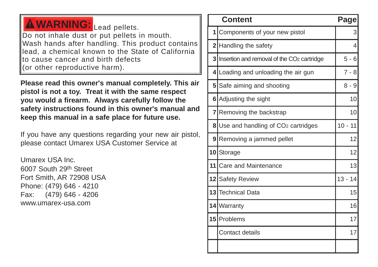### **WARNING:** Lead pellets. Do not inhale dust or put pellets in mouth. Wash hands after handling. This product contains lead, a chemical known to the State of California to cause cancer and birth defects (or other reproductive harm).

**Please read this owner's manual completely. This air pistol is not a toy. Treat it with the same respect you would a firearm. Always carefully follow the safety instructions found in this owner's manual and keep this manual in a safe place for future use.**

If you have any questions regarding your new air pistol, please contact Umarex USA Customer Service at

Umarex USA Inc. 6007 South 29th Street Fort Smith, AR 72908 USA Phone: (479) 646 - 4210 Fax: (479) 646 - 4206 www.umarex-usa.com

| <b>Content</b> |                                                        |           |  |  |  |
|----------------|--------------------------------------------------------|-----------|--|--|--|
| 1 <sup>1</sup> | Components of your new pistol                          | 3         |  |  |  |
|                | 2 Handling the safety                                  | 4         |  |  |  |
| 3              | Insertion and removal of the CO <sub>2</sub> cartridge | $5 - 6$   |  |  |  |
| 4              | Loading and unloading the air gun                      | $7 - 8$   |  |  |  |
| 5 <sup>1</sup> | Safe aiming and shooting                               | $8 - 9$   |  |  |  |
| 6              | Adjusting the sight                                    | 10        |  |  |  |
|                | 7 Removing the backstrap                               | 10        |  |  |  |
|                | 8 Use and handling of CO <sub>2</sub> cartridges       | $10 - 11$ |  |  |  |
| 9              | Removing a jammed pellet                               | 12        |  |  |  |
|                | 10 Storage                                             | 12        |  |  |  |
| 11             | <b>Care and Maintenance</b>                            | 13        |  |  |  |
|                | 12 Safety Review                                       | $13 - 14$ |  |  |  |
| 13             | Technical Data                                         | 15        |  |  |  |
|                | 14   Warranty                                          | 16        |  |  |  |
| 15             | Problems                                               | 17        |  |  |  |
|                | <b>Contact details</b>                                 | 17        |  |  |  |
|                |                                                        |           |  |  |  |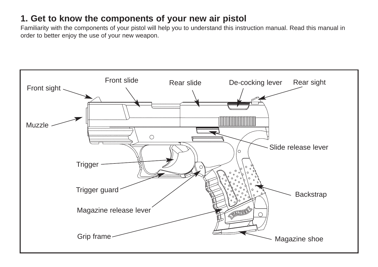### **1. Get to know the components of your new air pistol**

Familiarity with the components of your pistol will help you to understand this instruction manual. Read this manual in order to better enjoy the use of your new weapon.

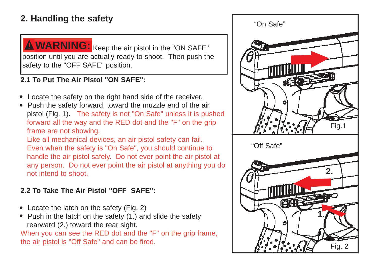### **2. Handling the safety**



**WARNING:** Keep the air pistol in the "ON SAFE" position until you are actually ready to shoot. Then push the safety to the "OFF SAFE" position.

### **2.1 To Put The Air Pistol "ON SAFE":**

- Locate the safety on the right hand side of the receiver.
- Push the safety forward, toward the muzzle end of the air pistol (Fig. 1). The safety is not "On Safe" unless it is pushed forward all the way and the RED dot and the "F" on the grip frame are not showing.

Like all mechanical devices, an air pistol safety can fail. Even when the safety is "On Safe", you should continue to handle the air pistol safely. Do not ever point the air pistol at any person. Do not ever point the air pistol at anything you do not intend to shoot.

#### **2.2 To Take The Air Pistol "OFF SAFE":**

- Locate the latch on the safety (Fig. 2)
- Push in the latch on the safety (1.) and slide the safety rearward (2.) toward the rear sight.

When you can see the RED dot and the "F" on the grip frame, the air pistol is "Off Safe" and can be fired.

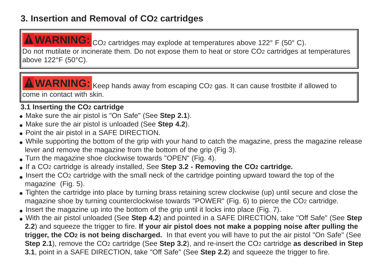### **3. Insertion and Removal of CO <sup>2</sup> cartridges**

WARNING: CO<sub>2</sub> cartridges may explode at temperatures above 122° F (50° C).

Do not mutilate or incinerate them. Do not expose them to heat or store CO <sup>2</sup> cartridges at temperatures above 122°F (50°C).

WARNING: Keep hands away from escaping CO2 gas. It can cause frostbite if allowed to come in contact with skin.

### **3.1 Inserting the CO <sup>2</sup> cartridge**

- Make sure the air pistol is "On Safe" (See **Step 2.1**).
- Make sure the air pistol is unloaded (See **Step 4.2**).
- Point the air pistol in a SAFE DIRECTION.
- While supporting the bottom of the grip with your hand to catch the magazine, press the magazine release lever and remove the magazine from the bottom of the grip (Fig 3).
- Turn the magazine shoe clockwise towards "OPEN" (Fig. 4).
- If a CO <sup>2</sup> cartridge is already installed, See **Step 3.2 Removing the CO <sup>2</sup> cartridge.**
- Insert the CO <sup>2</sup> cartridge with the small neck of the cartridge pointing upward toward the top of the magazine (Fig. 5).
- Tighten the cartridge into place by turning brass retaining screw clockwise (up) until secure and close the magazine shoe by turning counterclockwise towards "POWER" (Fig. 6) to pierce the CO <sup>2</sup> cartridge.
- Insert the magazine up into the bottom of the grip until it locks into place (Fig. 7).
- With the air pistol unloaded (See **Step 4.2**) and pointed in a SAFE DIRECTION, take "Off Safe" (See **Step 2.2**) and squeeze the trigger to fire. **If your air pistol does not make a popping noise after pulling the trigger, the CO <sup>2</sup> is not being discharged.** In that event you will have to put the air pistol "On Safe" (See **Step 2.1**), remove the CO<sub>2</sub> cartridge (See Step 3.2), and re-insert the CO<sub>2</sub> cartridge as described in Step **3.1**, point in a SAFE DIRECTION, take "Off Safe" (See **Step 2.2**) and squeeze the trigger to fire.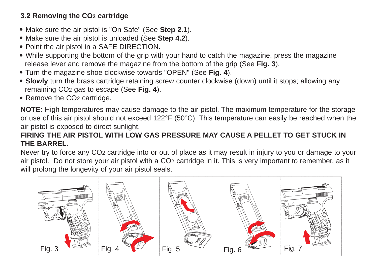#### **3.2 Removing the CO2 cartridge**

- Make sure the air pistol is "On Safe" (See **Step 2.1**).
- Make sure the air pistol is unloaded (See **Step 4.2**).
- Point the air pistol in a SAFE DIRECTION.
- While supporting the bottom of the grip with your hand to catch the magazine, press the magazine release lever and remove the magazine from the bottom of the grip (See **Fig. 3**).
- Turn the magazine shoe clockwise towards "OPEN" (See **Fig. 4**).
- **Slowly** turn the brass cartridge retaining screw counter clockwise (down) until it stops; allowing any remaining CO2 gas to escape (See **Fig. 4**).
- Remove the CO<sub>2</sub> cartridge.

**NOTE:** High temperatures may cause damage to the air pistol. The maximum temperature for the storage or use of this air pistol should not exceed 122°F (50°C). This temperature can easily be reached when the air pistol is exposed to direct sunlight.

#### **FIRING THE AIR PISTOL WITH LOW GAS PRESSURE MAY CAUSE A PELLET TO GET STUCK IN THE BARREL.**

Never try to force any CO2 cartridge into or out of place as it may result in injury to you or damage to your air pistol. Do not store your air pistol with a CO2 cartridge in it. This is very important to remember, as it will prolong the longevity of your air pistol seals.

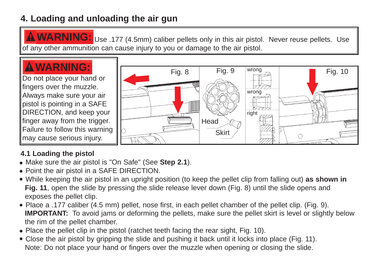### **4. Loading and unloading the air gun**

WARNING: Use .177 (4.5mm) caliber pellets only in this air pistol. Never reuse pellets. Use of any other ammunition can cause injury to you or damage to the air pistol.

Fig. 8 | Fig. 9

## **WARNING:**

Do not place your hand or fingers over the muzzle. Always make sure your air pistol is pointing in a SAFE DIRECTION, and keep your finger away from the trigger. Failure to follow this warning may cause serious injury.



wrong  $\overline{\phantom{a}}$  Fig. 10

### **4.1 Loading the pistol**

- Make sure the air pistol is "On Safe" (See **Step 2.1**).
- Point the air pistol in a SAFE DIRECTION.
- While keeping the air pistol in an upright position (to keep the pellet clip from falling out) **as shown in Fig. 11**, open the slide by pressing the slide release lever down (Fig. 8) until the slide opens and exposes the pellet clip.
- Place a .177 caliber (4.5 mm) pellet, nose first, in each pellet chamber of the pellet clip. (Fig. 9). **IMPORTANT:** To avoid jams or deforming the pellets, make sure the pellet skirt is level or slightly below the rim of the pellet chamber.
- Place the pellet clip in the pistol (ratchet teeth facing the rear sight, Fig. 10).
- Close the air pistol by gripping the slide and pushing it back until it locks into place (Fig. 11). Note: Do not place your hand or fingers over the muzzle when opening or closing the slide.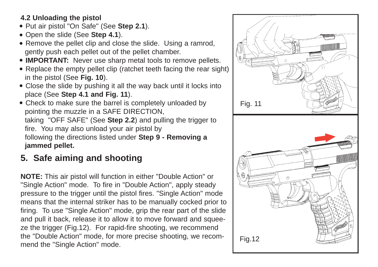### **4.2 Unloading the pistol**

- Put air pistol "On Safe" (See **Step 2.1**).
- Open the slide (See **Step 4.1**).
- Remove the pellet clip and close the slide. Using a ramrod, gently push each pellet out of the pellet chamber.
- **IMPORTANT:** Never use sharp metal tools to remove pellets.
- Replace the empty pellet clip (ratchet teeth facing the rear sight) in the pistol (See **Fig. 10**).
- Close the slide by pushing it all the way back until it locks into place (See **Step 4.1 and Fig. 11**).
- Check to make sure the barrel is completely unloaded by pointing the muzzle in a SAFE DIRECTION, taking "OFF SAFE" (See **Step 2.2**) and pulling the trigger to fire. You may also unload your air pistol by following the directions listed under **Step 9 - Removing a jammed pellet.**

### **5. Safe aiming and shooting**

**NOTE:** This air pistol will function in either "Double Action" or "Single Action" mode. To fire in "Double Action", apply steady pressure to the trigger until the pistol fires. "Single Action" mode means that the internal striker has to be manually cocked prior to firing. To use "Single Action" mode, grip the rear part of the slide and pull it back, release it to allow it to move forward and squeeze the trigger (Fig.12). For rapid-fire shooting, we recommend the "Double Action" mode, for more precise shooting, we recommend the "Single Action" mode.

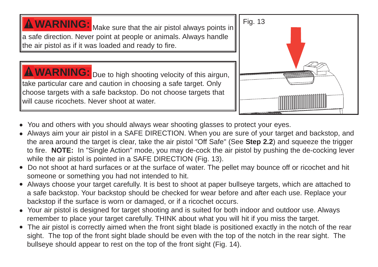**WARNING:** Make sure that the air pistol always points in Fig. 13 a safe direction. Never point at people or animals. Always handle the air pistol as if it was loaded and ready to fire.

**WARNING:** Due to high shooting velocity of this airgun, take particular care and caution in choosing a safe target. Only choose targets with a safe backstop. Do not choose targets that will cause ricochets. Never shoot at water.



- You and others with you should always wear shooting glasses to protect your eyes.
- Always aim your air pistol in a SAFE DIRECTION. When you are sure of your target and backstop, and the area around the target is clear, take the air pistol "Off Safe" (See **Step 2.2**) and squeeze the trigger to fire. **NOTE:** In "Single Action" mode, you may de-cock the air pistol by pushing the de-cocking lever while the air pistol is pointed in a SAFE DIRECTION (Fig. 13).
- Do not shoot at hard surfaces or at the surface of water. The pellet may bounce off or ricochet and hit someone or something you had not intended to hit.
- Always choose your target carefully. It is best to shoot at paper bullseye targets, which are attached to a safe backstop. Your backstop should be checked for wear before and after each use. Replace your backstop if the surface is worn or damaged, or if a ricochet occurs.
- Your air pistol is designed for target shooting and is suited for both indoor and outdoor use. Always remember to place your target carefully. THINK about what you will hit if you miss the target.
- The air pistol is correctly aimed when the front sight blade is positioned exactly in the notch of the rear sight. The top of the front sight blade should be even with the top of the notch in the rear sight. The bullseye should appear to rest on the top of the front sight (Fig. 14).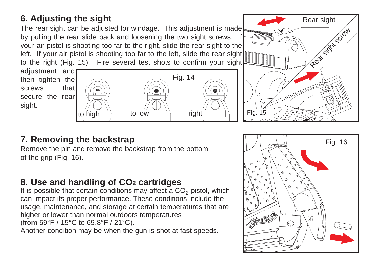### **6. Adjusting the sight**

The rear sight can be adjusted for windage. This adjustment is made by pulling the rear slide back and loosening the two sight screws. If your air pistol is shooting too far to the right, slide the rear sight to the left. If your air pistol is shooting too far to the left, slide the rear sight to the right (Fig. 15). Fire several test shots to confirm your sight

adjustment and then tighten the screws that secure the rear sight.



### **7. Removing the backstrap**

Remove the pin and remove the backstrap from the bottom of the grip (Fig. 16).

### **8. Use and handling of CO2 cartridges**

It is possible that certain conditions may affect a  $CO<sub>2</sub>$  pistol, which can impact its proper performance. These conditions include the usage, maintenance, and storage at certain temperatures that are higher or lower than normal outdoors temperatures (from 59°F / 15°C to 69.8°F / 21°C).

Another condition may be when the gun is shot at fast speeds.



Rear sight

Rear sight screw

Fig. 15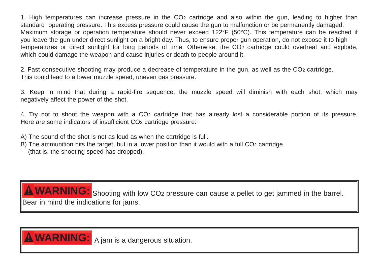1. High temperatures can increase pressure in the CO <sup>2</sup> cartridge and also within the gun, leading to higher than standard operating pressure. This excess pressure could cause the gun to malfunction or be permanently damaged. Maximum storage or operation temperature should never exceed 122°F (50°C). This temperature can be reached if you leave the gun under direct sunlight on a bright day. Thus, to ensure proper gun operation, do not expose it to high temperatures or direct sunlight for long periods of time. Otherwise, the CO <sup>2</sup> cartridge could overheat and explode, which could damage the weapon and cause injuries or death to people around it.

2. Fast consecutive shooting may produce a decrease of temperature in the gun, as well as the CO <sup>2</sup> cartridge. This could lead to a lower muzzle speed, uneven gas pressure.

3. Keep in mind that during a rapid-fire sequence, the muzzle speed will diminish with each shot, which may negatively affect the power of the shot.

4. Try not to shoot the weapon with a CO <sup>2</sup> cartridge that has already lost a considerable portion of its pressure. Here are some indicators of insufficient CO <sup>2</sup> cartridge pressure:

A) The sound of the shot is not as loud as when the cartridge is full.

B) The ammunition hits the target, but in a lower position than it would with a full CO <sup>2</sup> cartridge (that is, the shooting speed has dropped).

WARNING: Shooting with low CO<sub>2</sub> pressure can cause a pellet to get jammed in the barrel. Bear in mind the indications for jams.

**A WARNING:** A jam is a dangerous situation.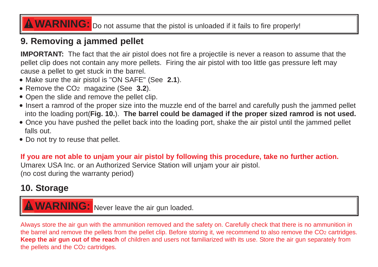## **A WARNING:** Do not assume that the pistol is unloaded if it fails to fire properly!

### **9. Removing a jammed pellet**

**IMPORTANT:** The fact that the air pistol does not fire a projectile is never a reason to assume that the pellet clip does not contain any more pellets. Firing the air pistol with too little gas pressure left may cause a pellet to get stuck in the barrel.

- Make sure the air pistol is "ON SAFE" (See **2.1**).
- Remove the CO<sub>2</sub> magazine (See **3.2**).
- Open the slide and remove the pellet clip.
- Insert a ramrod of the proper size into the muzzle end of the barrel and carefully push the jammed pellet into the loading port(**Fig. 10.**). **The barrel could be damaged if the proper sized ramrod is not used.**
- Once you have pushed the pellet back into the loading port, shake the air pistol until the jammed pellet falls out.
- Do not try to reuse that pellet.

**If you are not able to unjam your air pistol by following this procedure, take no further action.** Umarex USA Inc. or an Authorized Service Station will unjam your air pistol. (no cost during the warranty period)

### **10. Storage**

**A WARNING:** Never leave the air gun loaded.

Always store the air gun with the ammunition removed and the safety on. Carefully check that there is no ammunition in the barrel and remove the pellets from the pellet clip. Before storing it, we recommend to also remove the CO2 cartridges. **Keep the air gun out of the reach** of children and users not familiarized with its use. Store the air gun separately from the pellets and the CO2 cartridges.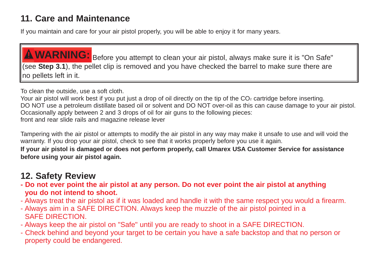### **11. Care and Maintenance**

If you maintain and care for your air pistol properly, you will be able to enjoy it for many years.

**WARNING:** Before you attempt to clean your air pistol, always make sure it is "On Safe" (see **Step 3.1**), the pellet clip is removed and you have checked the barrel to make sure there are no pellets left in it.

To clean the outside, use a soft cloth.

Your air pistol will work best if you put just a drop of oil directly on the tip of the CO<sub>2</sub> cartridge before inserting. DO NOT use a petroleum distillate based oil or solvent and DO NOT over-oil as this can cause damage to your air pistol. Occasionally apply between 2 and 3 drops of oil for air guns to the following pieces: front and rear slide rails and magazine release lever

Tampering with the air pistol or attempts to modify the air pistol in any way may make it unsafe to use and will void the warranty. If you drop your air pistol, check to see that it works properly before you use it again.

**If your air pistol is damaged or does not perform properly, call Umarex USA Customer Service for assistance before using your air pistol again.**

### **12. Safety Review**

- **Do not ever point the air pistol at any person. Do not ever point the air pistol at anything you do not intend to shoot.**
- Always treat the air pistol as if it was loaded and handle it with the same respect you would a firearm.
- Always aim in a SAFE DIRECTION. Always keep the muzzle of the air pistol pointed in a SAFE DIRECTION.
- Always keep the air pistol on "Safe" until you are ready to shoot in a SAFE DIRECTION.
- Check behind and beyond your target to be certain you have a safe backstop and that no person or property could be endangered.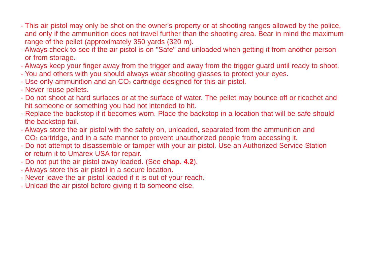- This air pistol may only be shot on the owner's property or at shooting ranges allowed by the police, and only if the ammunition does not travel further than the shooting area. Bear in mind the maximum range of the pellet (approximately 350 yards (320 m).
- Always check to see if the air pistol is on "Safe" and unloaded when getting it from another person or from storage.
- Always keep your finger away from the trigger and away from the trigger guard until ready to shoot.
- You and others with you should always wear shooting glasses to protect your eyes.
- Use only ammunition and an CO<sub>2</sub> cartridge designed for this air pistol.
- Never reuse pellets.
- Do not shoot at hard surfaces or at the surface of water. The pellet may bounce off or ricochet and hit someone or something you had not intended to hit.
- Replace the backstop if it becomes worn. Place the backstop in a location that will be safe should the backstop fail.
- Always store the air pistol with the safety on, unloaded, separated from the ammunition and CO<sub>2</sub> cartridge, and in a safe manner to prevent unauthorized people from accessing it.
- Do not attempt to disassemble or tamper with your air pistol. Use an Authorized Service Station or return it to Umarex USA for repair.
- Do not put the air pistol away loaded. (See **chap. 4.2**).
- Always store this air pistol in a secure location.
- Never leave the air pistol loaded if it is out of your reach.
- Unload the air pistol before giving it to someone else.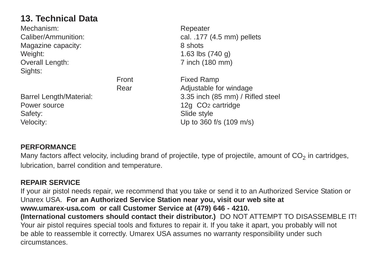### **13. Technical Data**

| Mechanism:                     |       | Repeater                         |
|--------------------------------|-------|----------------------------------|
| <b>Caliber/Ammunition:</b>     |       | cal. .177 (4.5 mm) pellets       |
| Magazine capacity:             |       | 8 shots                          |
| Weight:                        |       | 1.63 lbs $(740 g)$               |
| Overall Length:                |       | 7 inch (180 mm)                  |
| Sights:                        |       |                                  |
|                                | Front | <b>Fixed Ramp</b>                |
|                                | Rear  | Adjustable for windage           |
| <b>Barrel Length/Material:</b> |       | 3.35 inch (85 mm) / Rifled steel |
| Power source                   |       | 12g CO <sub>2</sub> cartridge    |
| Safety:                        |       | Slide style                      |
| Velocity:                      |       | Up to 360 f/s (109 m/s)          |
|                                |       |                                  |

#### **PERFORMANCE**

Many factors affect velocity, including brand of projectile, type of projectile, amount of CO<sub>2</sub> in cartridges, lubrication, barrel condition and temperature.

#### **REPAIR SERVICE**

If your air pistol needs repair, we recommend that you take or send it to an Authorized Service Station or Unarex USA. **For an Authorized Service Station near you, visit our web site at www.umarex-usa.com or call Customer Service at (479) 646 - 4210. (International customers should contact their distributor.)** DO NOT ATTEMPT TO DISASSEMBLE IT! Your air pistol requires special tools and fixtures to repair it. If you take it apart, you probably will not be able to reassemble it correctly. Umarex USA assumes no warranty responsibility under such

circumstances.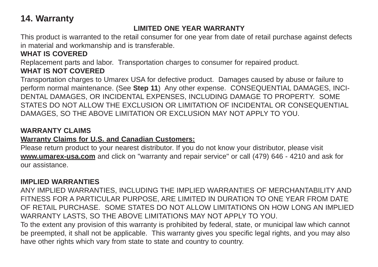### **14. Warranty**

#### **LIMITED ONE YEAR WARRANTY**

This product is warranted to the retail consumer for one year from date of retail purchase against defects in material and workmanship and is transferable.

#### **WHAT IS COVERED**

Replacement parts and labor. Transportation charges to consumer for repaired product.

#### **WHAT IS NOT COVERED**

Transportation charges to Umarex USA for defective product. Damages caused by abuse or failure to perform normal maintenance. (See **Step 11**) Any other expense. CONSEQUENTIAL DAMAGES, INCI-DENTAL DAMAGES, OR INCIDENTAL EXPENSES, INCLUDING DAMAGE TO PROPERTY. SOME STATES DO NOT ALLOW THE EXCLUSION OR LIMITATION OF INCIDENTAL OR CONSEQUENTIAL DAMAGES, SO THE ABOVE LIMITATION OR EXCLUSION MAY NOT APPLY TO YOU.

#### **WARRANTY CLAIMS**

#### **Warranty Claims for U.S. and Canadian Customers:**

Please return product to your nearest distributor. If you do not know your distributor, please visit **www.umarex-usa.com** and click on "warranty and repair service" or call (479) 646 - 4210 and ask for our assistance.

#### **IMPLIED WARRANTIES**

ANY IMPLIED WARRANTIES, INCLUDING THE IMPLIED WARRANTIES OF MERCHANTABILITY AND FITNESS FOR A PARTICULAR PURPOSE, ARE LIMITED IN DURATION TO ONE YEAR FROM DATE OF RETAIL PURCHASE. SOME STATES DO NOT ALLOW LIMITATIONS ON HOW LONG AN IMPLIED WARRANTY LASTS, SO THE ABOVE LIMITATIONS MAY NOT APPLY TO YOU.

To the extent any provision of this warranty is prohibited by federal, state, or municipal law which cannot be preempted, it shall not be applicable. This warranty gives you specific legal rights, and you may also have other rights which vary from state to state and country to country.